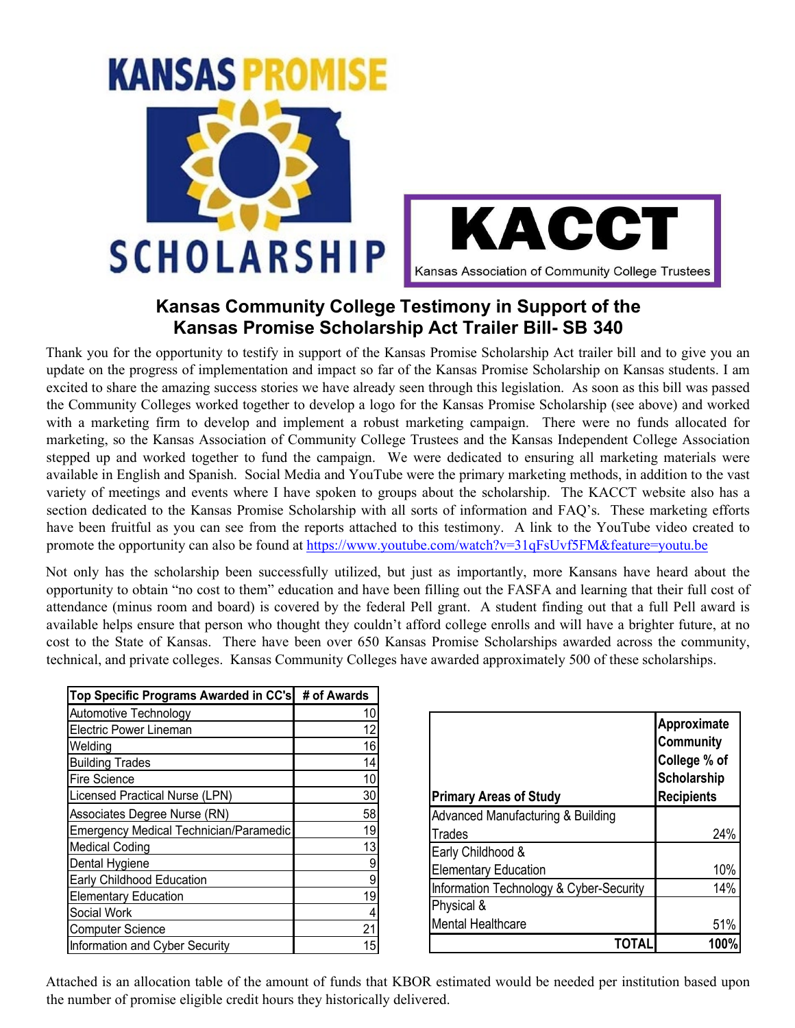# **KANSAS PROM**





#### **Kansas Community College Testimony in Support of the Kansas Promise Scholarship Act Trailer Bill- SB 340**

Thank you for the opportunity to testify in support of the Kansas Promise Scholarship Act trailer bill and to give you an update on the progress of implementation and impact so far of the Kansas Promise Scholarship on Kansas students. I am excited to share the amazing success stories we have already seen through this legislation. As soon as this bill was passed the Community Colleges worked together to develop a logo for the Kansas Promise Scholarship (see above) and worked with a marketing firm to develop and implement a robust marketing campaign. There were no funds allocated for marketing, so the Kansas Association of Community College Trustees and the Kansas Independent College Association stepped up and worked together to fund the campaign. We were dedicated to ensuring all marketing materials were available in English and Spanish. Social Media and YouTube were the primary marketing methods, in addition to the vast variety of meetings and events where I have spoken to groups about the scholarship. The KACCT website also has a section dedicated to the Kansas Promise Scholarship with all sorts of information and FAQ's. These marketing efforts have been fruitful as you can see from the reports attached to this testimony. A link to the YouTube video created to promote the opportunity can also be found at https://www.youtube.com/watch?v=31qFsUvf5FM&feature=youtu.be

Not only has the scholarship been successfully utilized, but just as importantly, more Kansans have heard about the opportunity to obtain "no cost to them" education and have been filling out the FASFA and learning that their full cost of attendance (minus room and board) is covered by the federal Pell grant. A student finding out that a full Pell award is available helps ensure that person who thought they couldn't afford college enrolls and will have a brighter future, at no cost to the State of Kansas. There have been over 650 Kansas Promise Scholarships awarded across the community, technical, and private colleges. Kansas Community Colleges have awarded approximately 500 of these scholarships.

| Top Specific Programs Awarded in CC's         | # of Awards |
|-----------------------------------------------|-------------|
| Automotive Technology                         | 10          |
| <b>Electric Power Lineman</b>                 | 12          |
| Welding                                       | 16          |
| <b>Building Trades</b>                        | 14          |
| <b>Fire Science</b>                           | 10          |
| Licensed Practical Nurse (LPN)                | 30          |
| Associates Degree Nurse (RN)                  | 58          |
| <b>Emergency Medical Technician/Paramedic</b> | 19          |
| <b>Medical Coding</b>                         | 13          |
| Dental Hygiene                                | 9           |
| Early Childhood Education                     | 9           |
| <b>Elementary Education</b>                   | 19          |
| Social Work                                   |             |
| <b>Computer Science</b>                       | 21          |
| Information and Cyber Security                | 15          |

| <b>Primary Areas of Study</b>           | Approximate<br>Community<br>College % of<br>Scholarship<br><b>Recipients</b> |
|-----------------------------------------|------------------------------------------------------------------------------|
| Advanced Manufacturing & Building       |                                                                              |
| Trades                                  | 24%                                                                          |
| Early Childhood &                       |                                                                              |
| <b>Elementary Education</b>             | 10%                                                                          |
| Information Technology & Cyber-Security | 14%                                                                          |
| Physical &                              |                                                                              |
| <b>Mental Healthcare</b>                | 51%                                                                          |
| ΤΟΤΑΙ                                   | 100%                                                                         |

Attached is an allocation table of the amount of funds that KBOR estimated would be needed per institution based upon the number of promise eligible credit hours they historically delivered.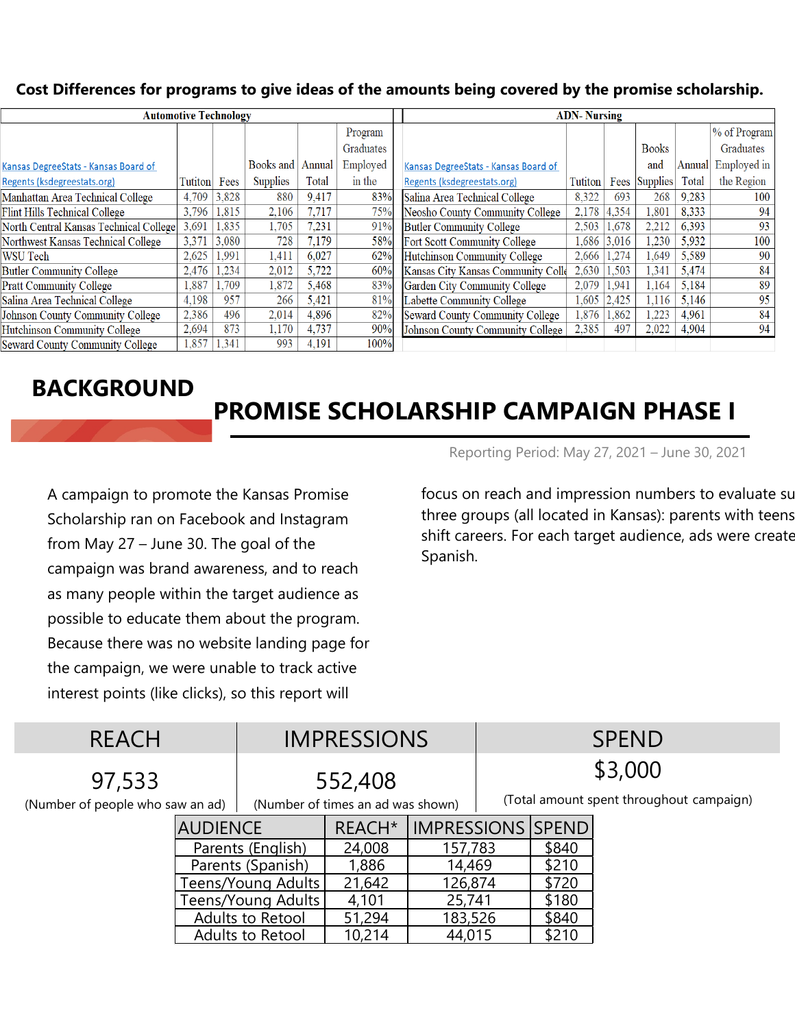#### **Cost Differences for programs to give ideas of the amounts being covered by the promise scholarship.**

| <b>Automotive Technology</b>           |         |       |                 |        |           | <b>ADN-Nursing</b>                   |         |       |              |        |              |
|----------------------------------------|---------|-------|-----------------|--------|-----------|--------------------------------------|---------|-------|--------------|--------|--------------|
|                                        |         |       |                 |        | Program   |                                      |         |       |              |        | % of Program |
|                                        |         |       |                 |        | Graduates |                                      |         |       | <b>Books</b> |        | Graduates    |
| Kansas DegreeStats - Kansas Board of   |         |       | Books and       | Annual | Employed  | Kansas DegreeStats - Kansas Board of |         |       | and          | Annual | Employed in  |
| Regents (ksdegreestats.org)            | Tutiton | Fees  | <b>Supplies</b> | Total  | in the    | Regents (ksdegreestats.org)          | Tutiton | Fees  | Supplies     | Total  | the Region   |
| Manhattan Area Technical College       | 4.709   | 3,828 | 880             | 9,417  | 83%       | Salina Area Technical College        | 8,322   | 693   | 268          | 9,283  | 100          |
| Flint Hills Technical College          | 3.796   | 1.815 | 2,106           | 7,717  | 75%       | Neosho County Community College      | 2,178   | 4.354 | .801         | 8,333  | 94           |
| North Central Kansas Technical College | 3.691   | 1.835 | l.705           | 7,231  | 91%       | Butler Community College             | 2,503   | 1.678 | 2.212        | 6.393  | 93           |
| Northwest Kansas Technical College     | 3,371   | 3.080 | 728             | 7,179  | 58%       | Fort Scott Community College         | .686    | 3.016 | .230         | 5.932  | 100          |
| <b>WSU Tech</b>                        | 2,625   | 1,991 | 1.411           | 6,027  | 62%       | Hutchinson Community College         | 2,666   | 1,274 | 1.649        | 5,589  | 90           |
| <b>Butler Community College</b>        | 2,476   | 1.234 | 2,012           | 5,722  | 60%       | Kansas City Kansas Community Colle   | 2,630   | 1.503 | 1.341        | 5.474  | 84           |
| <b>Pratt Community College</b>         | 1,887   | 1.709 | .872            | 5.468  | 83%       | Garden City Community College        | 2,079   | 1.941 | l.164        | 5.184  | 89           |
| Salina Area Technical College          | 4.198   | 957   | 266             | 5,421  | 81%       | Labette Community College            | 1.605   | 2.425 | 1.116        | 5.146  | 95           |
| Johnson County Community College       | 2,386   | 496   | 2.014           | 4,896  | 82%       | Seward County Community College      | ,876    | 1,862 | 1,223        | 4,961  | 84           |
| Hutchinson Community College           | 2,694   | 873   | l.170           | 4,737  | 90%       | Johnson County Community College     | 2,385   | 497   | 2,022        | 4,904  | 94           |
| <b>Seward County Community College</b> | 1,857   | 1.341 | 993             | 4.191  | 100%      |                                      |         |       |              |        |              |

#### **BACKGROUND**

## **PROMISE SCHOLARSHIP CAMPAIGN PHASE I**

A campaign to promote the Kansas Promise Scholarship ran on Facebook and Instagram from May 27 – June 30. The goal of the campaign was brand awareness, and to reach as many people within the target audience as possible to educate them about the program. Because there was no website landing page for the campaign, we were unable to track active interest points (like clicks), so this report will

Reporting Period: May 27, 2021 – June 30, 2021

focus on reach and impression numbers to evaluate su three groups (all located in Kansas): parents with teens shift careers. For each target audience, ads were create Spanish.

| <b>REACH</b>                     |                    | <b>IMPRESSIONS</b>                |                    | <b>SPEND</b>                             |                          |       |  |
|----------------------------------|--------------------|-----------------------------------|--------------------|------------------------------------------|--------------------------|-------|--|
| 97,533                           | 552,408            |                                   | \$3,000            |                                          |                          |       |  |
| (Number of people who saw an ad) |                    | (Number of times an ad was shown) |                    | (Total amount spent throughout campaign) |                          |       |  |
| <b>AUDIENCE</b>                  |                    |                                   | REACH <sup>*</sup> |                                          | <b>IMPRESSIONS SPEND</b> |       |  |
|                                  | Parents (English)  |                                   | 24,008             | 157,783                                  |                          | \$840 |  |
|                                  | Parents (Spanish)  |                                   | 1,886              | 14,469                                   |                          | \$210 |  |
|                                  |                    | Teens/Young Adults                | 21,642             | 126,874                                  |                          | \$720 |  |
|                                  | Teens/Young Adults |                                   | 4,101              | 25,741                                   |                          | \$180 |  |
|                                  |                    | Adults to Retool                  | 51,294             | 183,526                                  |                          | \$840 |  |
|                                  |                    | Adults to Retool                  | 10,214             | 44,015                                   |                          | \$210 |  |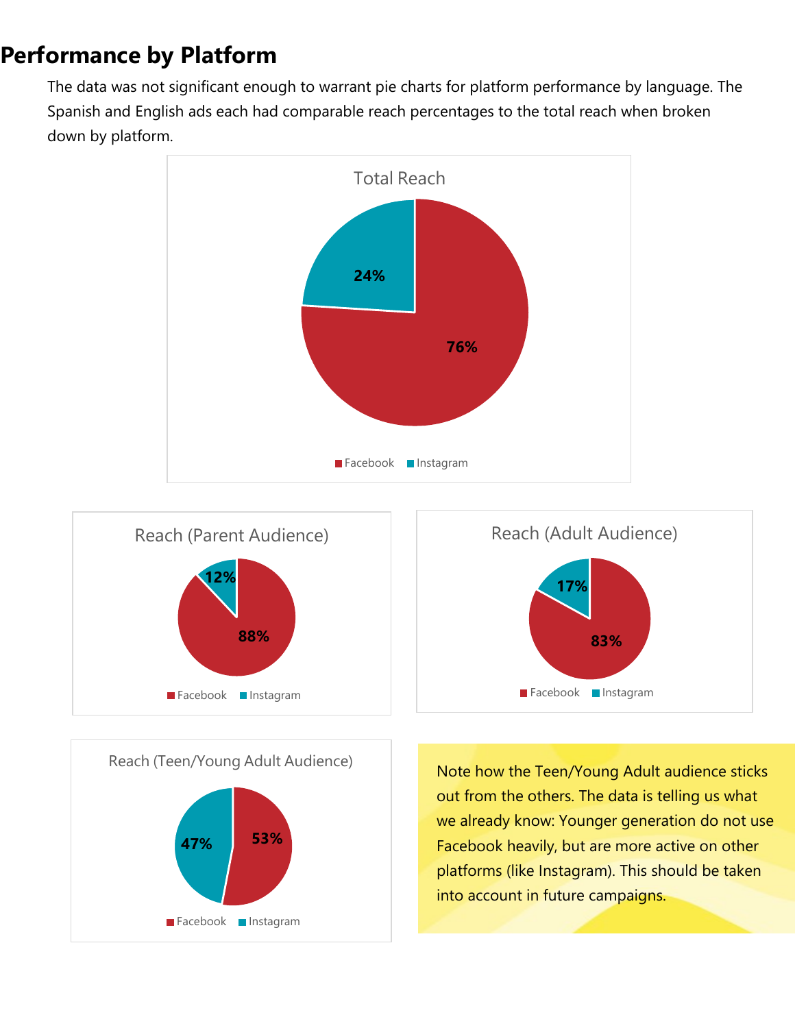#### **Performance by Platform**

The data was not significant enough to warrant pie charts for platform performance by language. The Spanish and English ads each had comparable reach percentages to the total reach when broken down by platform.







Note how the Teen/Young Adult audience sticks out from the others. The data is telling us what we already know: Younger generation do not use Facebook heavily, but are more active on other platforms (like Instagram). This should be taken into account in future campaigns.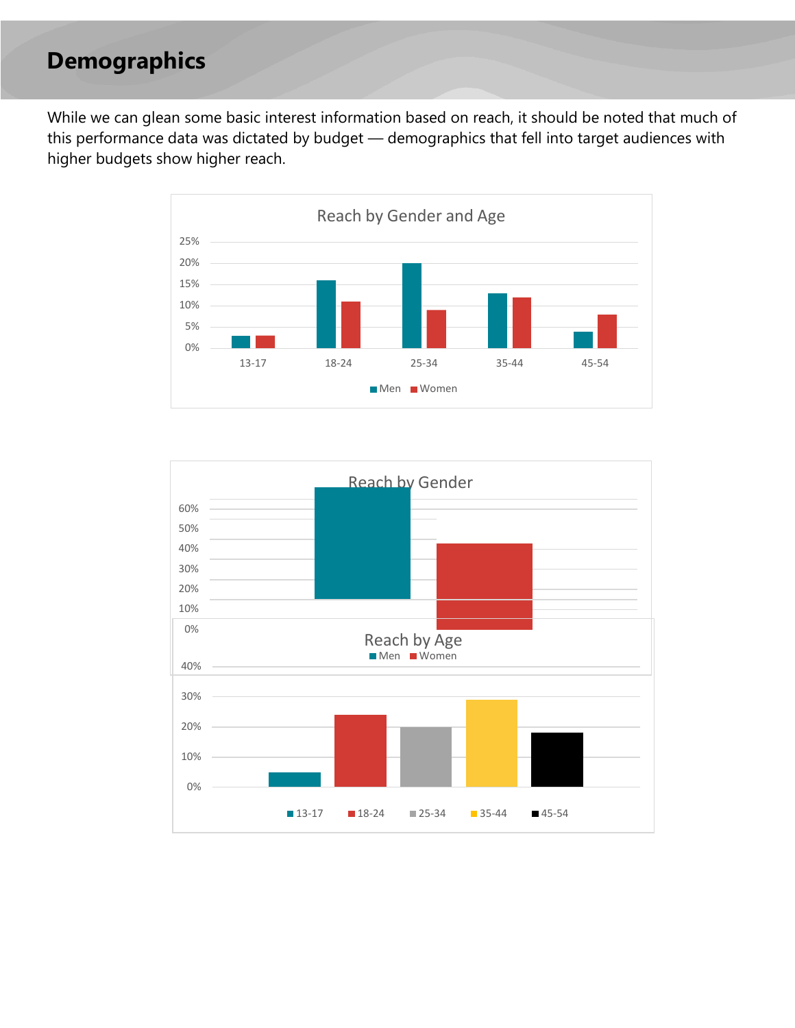#### **Demographics**

While we can glean some basic interest information based on reach, it should be noted that much of this performance data was dictated by budget — demographics that fell into target audiences with higher budgets show higher reach.



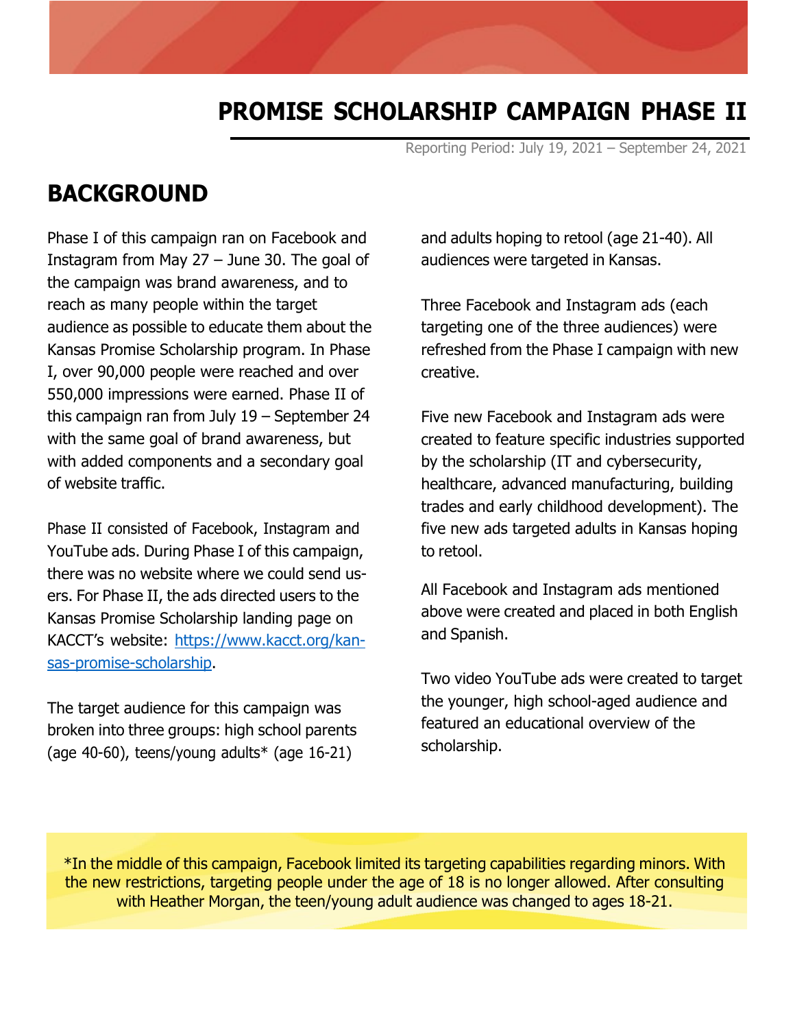#### **PROMISE SCHOLARSHIP CAMPAIGN PHASE II**

Reporting Period: July 19, 2021 – September 24, 2021

#### **BACKGROUND**

Phase I of this campaign ran on Facebook and Instagram from May 27 – June 30. The goal of the campaign was brand awareness, and to reach as many people within the target audience as possible to educate them about the Kansas Promise Scholarship program. In Phase I, over 90,000 people were reached and over 550,000 impressions were earned. Phase II of this campaign ran from July 19 – September 24 with the same goal of brand awareness, but with added components and a secondary goal of website traffic.

Phase II consisted of Facebook, Instagram and YouTube ads. During Phase I of this campaign, there was no website where we could send users. For Phase II, the ads directed users to the Kansas Promise Scholarship landing page on KACCT's website: htt[ps://www.kacct.org/kan](http://www.kacct.org/kan-)sas-promise-scholarship.

The target audience for this campaign was broken into three groups: high school parents (age 40-60), teens/young adults\* (age 16-21)

and adults hoping to retool (age 21-40). All audiences were targeted in Kansas.

Three Facebook and Instagram ads (each targeting one of the three audiences) were refreshed from the Phase I campaign with new creative.

Five new Facebook and Instagram ads were created to feature specific industries supported by the scholarship (IT and cybersecurity, healthcare, advanced manufacturing, building trades and early childhood development). The five new ads targeted adults in Kansas hoping to retool.

All Facebook and Instagram ads mentioned above were created and placed in both English and Spanish.

Two video YouTube ads were created to target the younger, high school-aged audience and featured an educational overview of the scholarship.

\*In the middle of this campaign, Facebook limited its targeting capabilities regarding minors. With the new restrictions, targeting people under the age of 18 is no longer allowed. After consulting with Heather Morgan, the teen/young adult audience was changed to ages 18-21.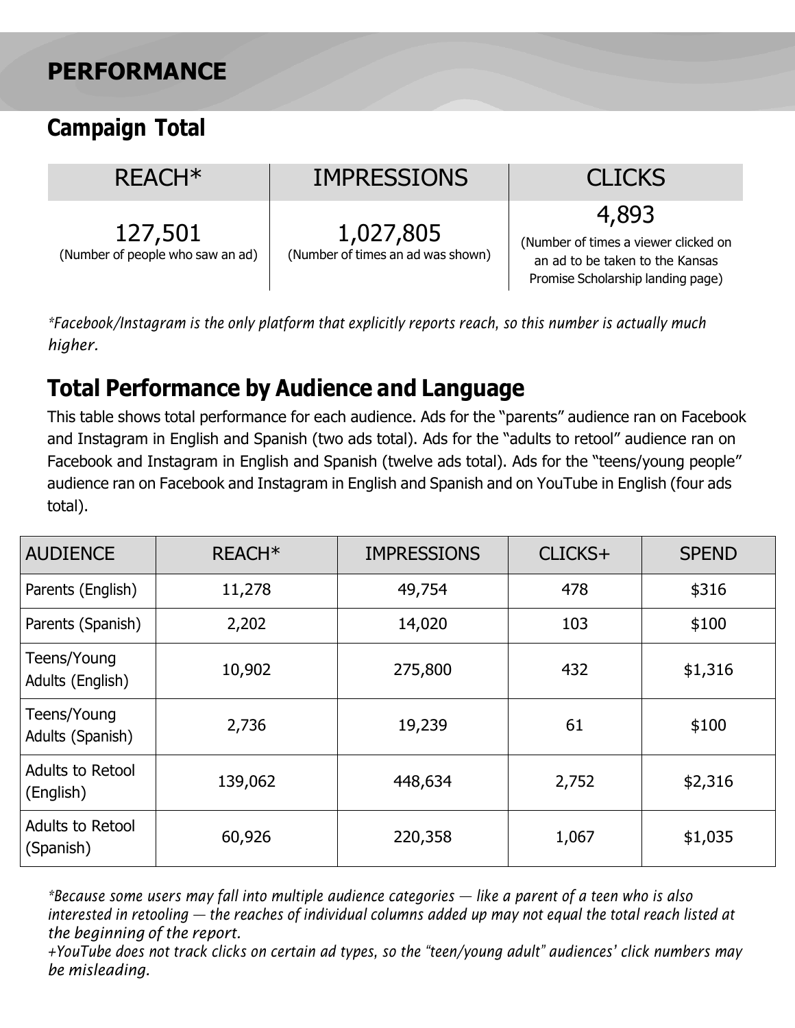#### **PERFORMANCE**

### **Campaign Total**

| REACH <sup>*</sup>                          | <b>IMPRESSIONS</b>                             | <b>CLICKS</b>                                                                                                         |
|---------------------------------------------|------------------------------------------------|-----------------------------------------------------------------------------------------------------------------------|
| 127,501<br>(Number of people who saw an ad) | 1,027,805<br>(Number of times an ad was shown) | 4,893<br>(Number of times a viewer clicked on<br>an ad to be taken to the Kansas<br>Promise Scholarship landing page) |

*\*Facebook/Instagram is the only platform that explicitly reports reach, so this number is actually much higher.*

### **Total Performance by Audience and Language**

This table shows total performance for each audience. Ads for the "parents" audience ran on Facebook and Instagram in English and Spanish (two ads total). Ads for the "adults to retool" audience ran on Facebook and Instagram in English and Spanish (twelve ads total). Ads for the "teens/young people" audience ran on Facebook and Instagram in English and Spanish and on YouTube in English (four ads total).

| <b>AUDIENCE</b>                      | REACH <sup>*</sup> | <b>IMPRESSIONS</b> | CLICKS+ | <b>SPEND</b> |
|--------------------------------------|--------------------|--------------------|---------|--------------|
| Parents (English)                    | 11,278             | 49,754             | 478     | \$316        |
| Parents (Spanish)                    | 2,202              | 14,020             | 103     | \$100        |
| Teens/Young<br>Adults (English)      | 10,902             | 275,800            | 432     | \$1,316      |
| Teens/Young<br>Adults (Spanish)      | 2,736              | 19,239             | 61      | \$100        |
| Adults to Retool<br>(English)        | 139,062            | 448,634            | 2,752   | \$2,316      |
| <b>Adults to Retool</b><br>(Spanish) | 60,926             | 220,358            | 1,067   | \$1,035      |

*\*Because some users may fall into multiple audience categories — like a parent of a teen who is also interested in retooling — the reaches of individual columns added up may not equal the total reach listed at the beginning of the report.*

*+YouTube does not track clicks on certain ad types, so the "teen/young adult" audiences' click numbers may be misleading.*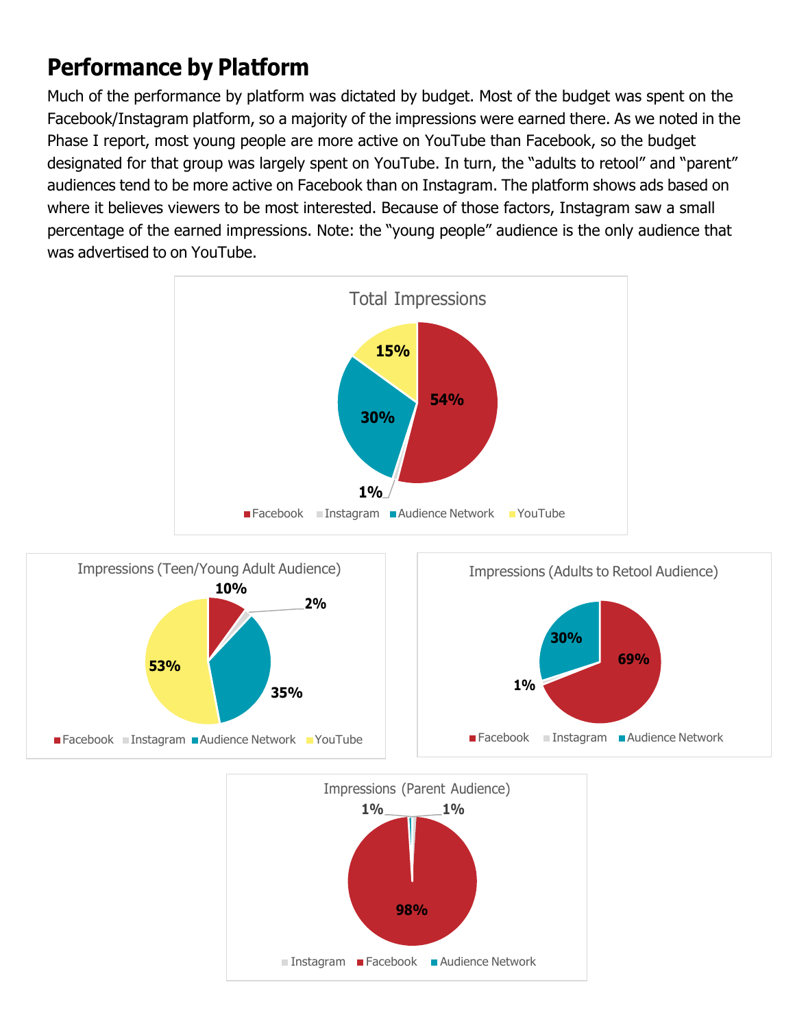### **Performance by Platform**

Much of the performance by platform was dictated by budget. Most of the budget was spent on the Facebook/Instagram platform, so a majority of the impressions were earned there. As we noted in the Phase I report, most young people are more active on YouTube than Facebook, so the budget designated for that group was largely spent on YouTube. In turn, the "adults to retool" and "parent" audiences tend to be more active on Facebook than on Instagram. The platform shows ads based on where it believes viewers to be most interested. Because of those factors, Instagram saw a small percentage of the earned impressions. Note: the "young people" audience is the only audience that was advertised to on YouTube.





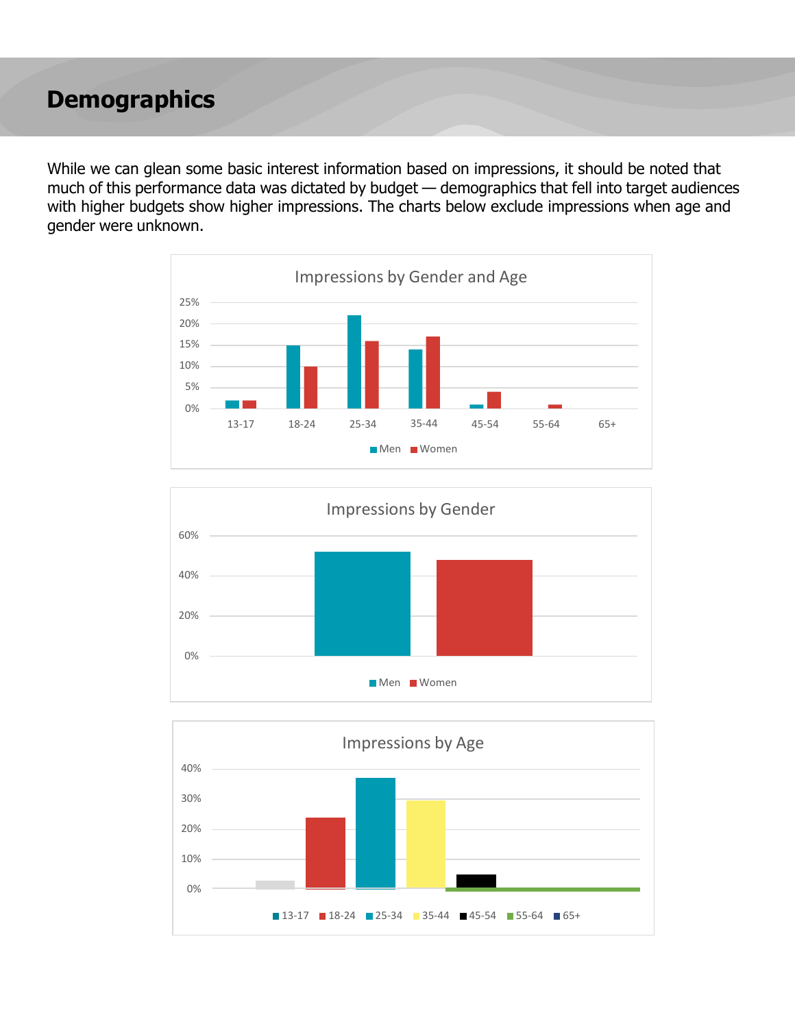#### **Demographics**

While we can glean some basic interest information based on impressions, it should be noted that much of this performance data was dictated by budget — demographics that fell into target audiences with higher budgets show higher impressions. The charts below exclude impressions when age and gender were unknown.





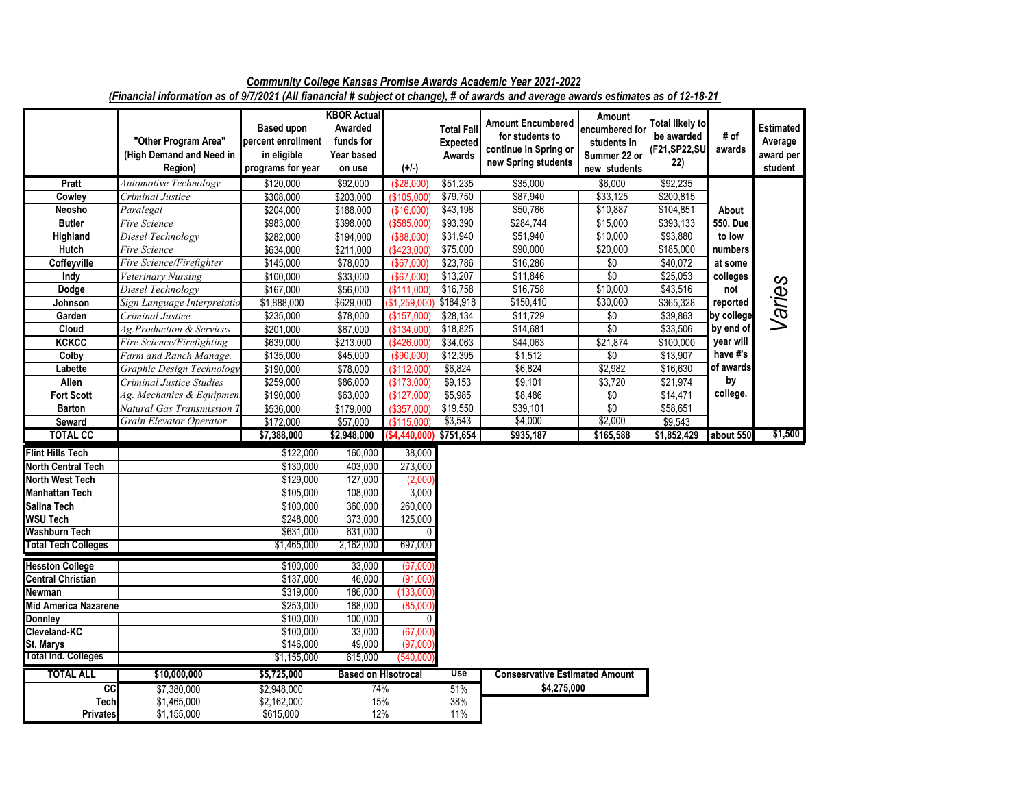|                            | "Other Program Area"<br>(High Demand and Need in<br>Region) | <b>Based upon</b><br>percent enrollment<br>in eligible<br>programs for year | <b>KBOR Actual</b><br>Awarded<br>funds for<br>Year based<br>on use | $(+/-)$      | <b>Total Fall</b><br><b>Expected</b><br>Awards | <b>Amount Encumbered</b><br>for students to<br>continue in Spring or<br>new Spring students | Amount<br>encumbered for<br>students in<br>Summer 22 or<br>new students | <b>Total likely to</b><br>be awarded<br>(F21,SP22,SU<br>22) | # of<br>awards | <b>Estimated</b><br>Average<br>award per<br>student |
|----------------------------|-------------------------------------------------------------|-----------------------------------------------------------------------------|--------------------------------------------------------------------|--------------|------------------------------------------------|---------------------------------------------------------------------------------------------|-------------------------------------------------------------------------|-------------------------------------------------------------|----------------|-----------------------------------------------------|
| Pratt                      | <b>Automotive Technology</b>                                | \$120,000                                                                   | \$92,000                                                           | (\$28,000)   | \$51,235                                       | \$35,000                                                                                    | \$6,000                                                                 | \$92,235                                                    |                |                                                     |
| Cowley                     | Criminal Justice                                            | \$308,000                                                                   | $\frac{1}{203,000}$                                                | (S105.000)   | \$79,750                                       | \$87,940                                                                                    | \$33,125                                                                | \$200,815                                                   |                |                                                     |
| Neosho                     | Paralegal                                                   | \$204,000                                                                   | \$188,000                                                          | (\$16,000)   | \$43,198                                       | \$50,766                                                                                    | \$10,887                                                                | \$104,851                                                   | About          |                                                     |
| <b>Butler</b>              | Fire Science                                                | \$983,000                                                                   | \$398,000                                                          | (\$585,000)  | \$93,390                                       | \$284,744                                                                                   | \$15,000                                                                | \$393,133                                                   | 550. Due       |                                                     |
| Highland                   | Diesel Technology                                           | \$282,000                                                                   | \$194,000                                                          | (\$88,000)   | \$31,940                                       | \$51,940                                                                                    | \$10,000                                                                | \$93,880                                                    | to low         |                                                     |
| Hutch                      | Fire Science                                                | \$634,000                                                                   | \$211,000                                                          | (\$423,000   | \$75,000                                       | \$90,000                                                                                    | \$20,000                                                                | \$185,000                                                   | numbers        |                                                     |
| Coffeyville                | Fire Science/Firefighter                                    | \$145,000                                                                   | \$78,000                                                           | (\$67,000)   | \$23,786                                       | \$16,286                                                                                    | $\sqrt{6}$                                                              | \$40,072                                                    | at some        |                                                     |
| Indy                       | <b>Veterinary Nursing</b>                                   | \$100,000                                                                   | \$33,000                                                           | (\$67,000)   | \$13,207                                       | \$11,846                                                                                    | \$0                                                                     | \$25,053                                                    | colleges       |                                                     |
| Dodge                      | Diesel Technology                                           | \$167,000                                                                   | \$56,000                                                           | (\$111,000)  | \$16,758                                       | \$16,758                                                                                    | \$10,000                                                                | \$43,516                                                    | not            |                                                     |
| Johnson                    | Sign Language Interpretatio                                 | \$1,888,000                                                                 | \$629,000                                                          | \$1,259,000  | \$184,918                                      | \$150,410                                                                                   | \$30,000                                                                | \$365,328                                                   | reported       | Varies                                              |
| Garden                     | Criminal Justice                                            | \$235,000                                                                   | \$78,000                                                           | (\$157,000   | \$28,134                                       | \$11,729                                                                                    | \$0                                                                     | \$39,863                                                    | by college     |                                                     |
| Cloud                      | Ag.Production & Services                                    | \$201,000                                                                   | \$67,000                                                           | (\$134,000)  | \$18,825                                       | \$14,681                                                                                    | \$0                                                                     | \$33,506                                                    | by end of      |                                                     |
| <b>KCKCC</b>               | Fire Science/Firefighting                                   | \$639,000                                                                   | \$213,000                                                          | (\$426,000)  | \$34,063                                       | \$44,063                                                                                    | \$21,874                                                                | \$100,000                                                   | year will      |                                                     |
| Colby                      | Farm and Ranch Manage.                                      | \$135,000                                                                   | \$45,000                                                           | (\$90,000)   | \$12,395                                       | \$1,512                                                                                     | \$0                                                                     | \$13,907                                                    | have #'s       |                                                     |
| Labette                    | Graphic Design Technology                                   | \$190,000                                                                   | \$78,000                                                           | (\$112,000)  | \$6,824                                        | \$6,824                                                                                     | \$2,982                                                                 | \$16,630                                                    | of awards      |                                                     |
| Allen                      | Criminal Justice Studies                                    | \$259,000                                                                   | \$86,000                                                           | (\$173,000)  | \$9,153                                        | \$9,101                                                                                     | \$3,720                                                                 | \$21,974                                                    | by             |                                                     |
| <b>Fort Scott</b>          | Ag. Mechanics & Equipmen                                    | \$190,000                                                                   | \$63,000                                                           | (S127.000)   | \$5,985                                        | \$8,486                                                                                     | $\sqrt{6}$                                                              | \$14,471                                                    | college.       |                                                     |
| <b>Barton</b>              | Natural Gas Transmission <sup>'</sup>                       | \$536,000                                                                   | \$179,000                                                          | (\$357,000)  | \$19,550                                       | \$39,101                                                                                    | \$0                                                                     | \$58,651                                                    |                |                                                     |
| Seward                     | Grain Elevator Operator                                     | $\sqrt{$172,000}$                                                           | \$57,000                                                           | (S115.000)   | \$3,543                                        | \$4,000                                                                                     | \$2,000                                                                 | \$9,543                                                     |                |                                                     |
| <b>TOTAL CC</b>            |                                                             | \$7,388,000                                                                 | \$2,948,000                                                        | (\$4.440.000 | \$751,654                                      | \$935,187                                                                                   | \$165,588                                                               | \$1,852,429                                                 | about 550      | \$1,500                                             |
|                            |                                                             |                                                                             |                                                                    |              |                                                |                                                                                             |                                                                         |                                                             |                |                                                     |
| <b>Flint Hills Tech</b>    |                                                             | \$122,000                                                                   | 160.000                                                            | 38.000       |                                                |                                                                                             |                                                                         |                                                             |                |                                                     |
| North Central Tech         |                                                             | \$130,000<br>\$129,000                                                      | 403,000                                                            | 273,000      |                                                |                                                                                             |                                                                         |                                                             |                |                                                     |
| North West Tech            |                                                             |                                                                             | 127,000                                                            | (2,000)      |                                                |                                                                                             |                                                                         |                                                             |                |                                                     |
| Manhattan Tech             |                                                             | \$105,000                                                                   | 108,000                                                            | 3,000        |                                                |                                                                                             |                                                                         |                                                             |                |                                                     |
| Salina Tech                |                                                             | \$100,000                                                                   | 360,000                                                            | 260,000      |                                                |                                                                                             |                                                                         |                                                             |                |                                                     |
| <b>WSU Tech</b>            |                                                             | \$248,000                                                                   | 373,000                                                            | 125,000      |                                                |                                                                                             |                                                                         |                                                             |                |                                                     |
| Washburn Tech              |                                                             | \$631,000                                                                   | 631,000                                                            | 0            |                                                |                                                                                             |                                                                         |                                                             |                |                                                     |
| <b>Total Tech Colleges</b> |                                                             | \$1,465,000                                                                 | 2,162,000                                                          | 697,000      |                                                |                                                                                             |                                                                         |                                                             |                |                                                     |
| <b>Hesston College</b>     |                                                             | \$100,000                                                                   | 33,000                                                             | (67,000)     |                                                |                                                                                             |                                                                         |                                                             |                |                                                     |
| <b>Central Christian</b>   |                                                             | \$137,000                                                                   | 46,000                                                             | (91,000)     |                                                |                                                                                             |                                                                         |                                                             |                |                                                     |
| Newman                     |                                                             | \$319,000                                                                   | 186,000                                                            | (133,000     |                                                |                                                                                             |                                                                         |                                                             |                |                                                     |
| Mid America Nazarene       |                                                             | \$253,000                                                                   | 168,000                                                            | (85,000)     |                                                |                                                                                             |                                                                         |                                                             |                |                                                     |
| Donnlev                    |                                                             | \$100,000                                                                   | 100,000                                                            | 0            |                                                |                                                                                             |                                                                         |                                                             |                |                                                     |
| Cleveland-KC               |                                                             | \$100,000                                                                   | 33,000                                                             | (67,000)     |                                                |                                                                                             |                                                                         |                                                             |                |                                                     |
| <b>St. Marys</b>           |                                                             | \$146,000                                                                   | 49,000                                                             | (97,000)     |                                                |                                                                                             |                                                                         |                                                             |                |                                                     |
| <b>Total Ind. Colleges</b> |                                                             | \$1,155,000                                                                 | 615,000                                                            | (540,000     |                                                |                                                                                             |                                                                         |                                                             |                |                                                     |
| <b>TOTAL ALL</b>           | \$10,000,000                                                | \$5,725,000                                                                 | <b>Based on Hisotrocal</b>                                         |              | Use                                            | <b>Consesrvative Estimated Amount</b>                                                       |                                                                         |                                                             |                |                                                     |
| $\overline{cc}$            | \$7,380,000                                                 | \$2,948,000                                                                 | 74%                                                                |              | 51%                                            | \$4,275,000                                                                                 |                                                                         |                                                             |                |                                                     |
| <b>Tech</b>                | \$1,465,000                                                 | \$2,162,000                                                                 | 15%                                                                |              | 38%                                            |                                                                                             |                                                                         |                                                             |                |                                                     |
| <b>Privates</b>            | \$1,155,000                                                 | \$615,000                                                                   | 12%                                                                |              | 11%                                            |                                                                                             |                                                                         |                                                             |                |                                                     |

*Community College Kansas Promise Awards Academic Year 2021-2022 (Financial information as of 9/7/2021 (All fianancial # subject ot change), # of awards and average awards estimates as of 12-18-21*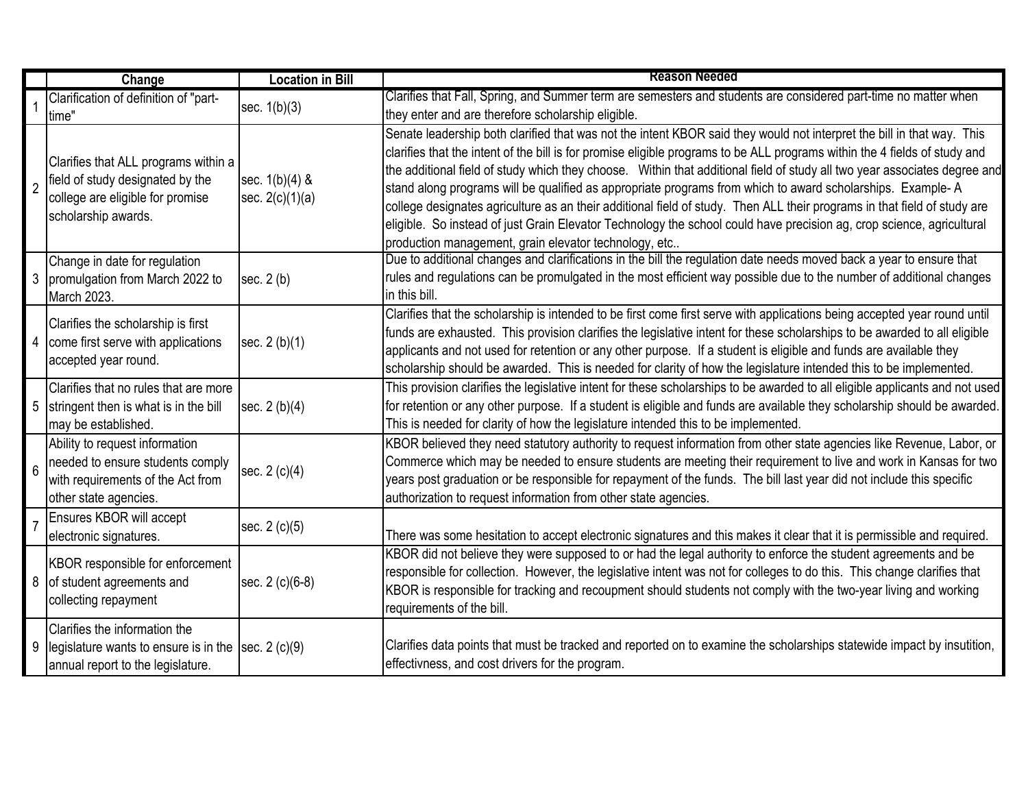|                | Change                                                                                                                              | <b>Location in Bill</b>             | <b>Reason Needed</b>                                                                                                                                                                                                                                                                                                                                                                                                                                                                                                                                                                                                                                                                                                                                                                                          |
|----------------|-------------------------------------------------------------------------------------------------------------------------------------|-------------------------------------|---------------------------------------------------------------------------------------------------------------------------------------------------------------------------------------------------------------------------------------------------------------------------------------------------------------------------------------------------------------------------------------------------------------------------------------------------------------------------------------------------------------------------------------------------------------------------------------------------------------------------------------------------------------------------------------------------------------------------------------------------------------------------------------------------------------|
|                | Clarification of definition of "part-<br>time'                                                                                      | sec. $1(b)(3)$                      | Clarifies that Fall, Spring, and Summer term are semesters and students are considered part-time no matter when<br>they enter and are therefore scholarship eligible.                                                                                                                                                                                                                                                                                                                                                                                                                                                                                                                                                                                                                                         |
| $\overline{2}$ | Clarifies that ALL programs within a<br>field of study designated by the<br>college are eligible for promise<br>scholarship awards. | sec. 1(b)(4) &<br>sec. $2(c)(1)(a)$ | Senate leadership both clarified that was not the intent KBOR said they would not interpret the bill in that way. This<br>clarifies that the intent of the bill is for promise eligible programs to be ALL programs within the 4 fields of study and<br>the additional field of study which they choose. Within that additional field of study all two year associates degree and<br>stand along programs will be qualified as appropriate programs from which to award scholarships. Example-A<br>college designates agriculture as an their additional field of study. Then ALL their programs in that field of study are<br>eligible. So instead of just Grain Elevator Technology the school could have precision ag, crop science, agricultural<br>production management, grain elevator technology, etc |
|                | Change in date for regulation<br>3  promulgation from March 2022 to<br>March 2023.                                                  | sec. $2(b)$                         | Due to additional changes and clarifications in the bill the regulation date needs moved back a year to ensure that<br>rules and regulations can be promulgated in the most efficient way possible due to the number of additional changes<br>in this bill.                                                                                                                                                                                                                                                                                                                                                                                                                                                                                                                                                   |
|                | Clarifies the scholarship is first<br>come first serve with applications<br>accepted year round.                                    | sec. 2 (b)(1)                       | Clarifies that the scholarship is intended to be first come first serve with applications being accepted year round until<br>funds are exhausted. This provision clarifies the legislative intent for these scholarships to be awarded to all eligible<br>applicants and not used for retention or any other purpose. If a student is eligible and funds are available they<br>scholarship should be awarded. This is needed for clarity of how the legislature intended this to be implemented.                                                                                                                                                                                                                                                                                                              |
| 5              | Clarifies that no rules that are more<br>stringent then is what is in the bill<br>may be established.                               | sec. 2 (b)(4)                       | This provision clarifies the legislative intent for these scholarships to be awarded to all eligible applicants and not used<br>for retention or any other purpose. If a student is eligible and funds are available they scholarship should be awarded.<br>This is needed for clarity of how the legislature intended this to be implemented.                                                                                                                                                                                                                                                                                                                                                                                                                                                                |
| 6              | Ability to request information<br>needed to ensure students comply<br>with requirements of the Act from<br>other state agencies.    | sec. 2 (c)(4)                       | KBOR believed they need statutory authority to request information from other state agencies like Revenue, Labor, or<br>Commerce which may be needed to ensure students are meeting their requirement to live and work in Kansas for two<br>years post graduation or be responsible for repayment of the funds. The bill last year did not include this specific<br>authorization to request information from other state agencies.                                                                                                                                                                                                                                                                                                                                                                           |
|                | Ensures KBOR will accept<br>electronic signatures.                                                                                  | sec. 2 (c)(5)                       | There was some hesitation to accept electronic signatures and this makes it clear that it is permissible and required.                                                                                                                                                                                                                                                                                                                                                                                                                                                                                                                                                                                                                                                                                        |
|                | KBOR responsible for enforcement<br>8 of student agreements and<br>collecting repayment                                             | sec. 2 (c)(6-8)                     | KBOR did not believe they were supposed to or had the legal authority to enforce the student agreements and be<br>responsible for collection. However, the legislative intent was not for colleges to do this. This change clarifies that<br>KBOR is responsible for tracking and recoupment should students not comply with the two-year living and working<br>requirements of the bill.                                                                                                                                                                                                                                                                                                                                                                                                                     |
| 9              | Clarifies the information the<br>legislature wants to ensure is in the $ sec. 2 (c)(9) $<br>annual report to the legislature.       |                                     | Clarifies data points that must be tracked and reported on to examine the scholarships statewide impact by insutition,<br>effectivness, and cost drivers for the program.                                                                                                                                                                                                                                                                                                                                                                                                                                                                                                                                                                                                                                     |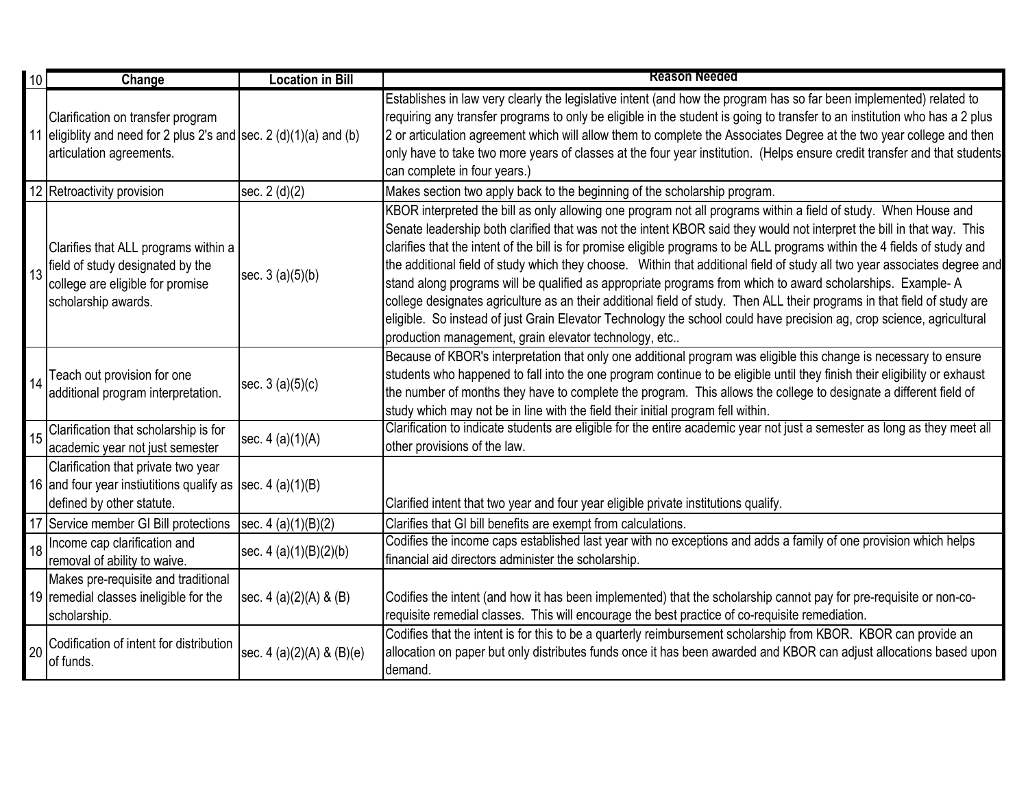| 10 | Change                                                                                                                                  | <b>Location in Bill</b>   | <b>Reason Needed</b>                                                                                                                                                                                                                                                                                                                                                                                                                                                                                                                                                                                                                                                                                                                                                                                                                                                                                                             |
|----|-----------------------------------------------------------------------------------------------------------------------------------------|---------------------------|----------------------------------------------------------------------------------------------------------------------------------------------------------------------------------------------------------------------------------------------------------------------------------------------------------------------------------------------------------------------------------------------------------------------------------------------------------------------------------------------------------------------------------------------------------------------------------------------------------------------------------------------------------------------------------------------------------------------------------------------------------------------------------------------------------------------------------------------------------------------------------------------------------------------------------|
|    | Clarification on transfer program<br>11 eligiblity and need for 2 plus 2's and sec. 2 $(d)(1)(a)$ and $(b)$<br>articulation agreements. |                           | Establishes in law very clearly the legislative intent (and how the program has so far been implemented) related to<br>requiring any transfer programs to only be eligible in the student is going to transfer to an institution who has a 2 plus<br>[2 or articulation agreement which will allow them to complete the Associates Degree at the two year college and then<br>only have to take two more years of classes at the four year institution. (Helps ensure credit transfer and that students<br>can complete in four years.)                                                                                                                                                                                                                                                                                                                                                                                          |
|    | 12 Retroactivity provision                                                                                                              | sec. 2 (d)(2)             | Makes section two apply back to the beginning of the scholarship program.                                                                                                                                                                                                                                                                                                                                                                                                                                                                                                                                                                                                                                                                                                                                                                                                                                                        |
| 13 | Clarifies that ALL programs within a<br>field of study designated by the<br>college are eligible for promise<br>scholarship awards.     | sec. 3 (a)(5)(b)          | KBOR interpreted the bill as only allowing one program not all programs within a field of study. When House and<br>Senate leadership both clarified that was not the intent KBOR said they would not interpret the bill in that way. This<br>clarifies that the intent of the bill is for promise eligible programs to be ALL programs within the 4 fields of study and<br>the additional field of study which they choose. Within that additional field of study all two year associates degree and<br>stand along programs will be qualified as appropriate programs from which to award scholarships. Example-A<br>college designates agriculture as an their additional field of study. Then ALL their programs in that field of study are<br>eligible. So instead of just Grain Elevator Technology the school could have precision ag, crop science, agricultural<br>production management, grain elevator technology, etc |
|    | Teach out provision for one<br>additional program interpretation.                                                                       | sec. $3(a)(5)(c)$         | Because of KBOR's interpretation that only one additional program was eligible this change is necessary to ensure<br>students who happened to fall into the one program continue to be eligible until they finish their eligibility or exhaust<br>the number of months they have to complete the program. This allows the college to designate a different field of<br>study which may not be in line with the field their initial program fell within.                                                                                                                                                                                                                                                                                                                                                                                                                                                                          |
| 15 | Clarification that scholarship is for<br>academic year not just semester                                                                | sec. 4 (a)(1)(A)          | Clarification to indicate students are eligible for the entire academic year not just a semester as long as they meet all<br>other provisions of the law.                                                                                                                                                                                                                                                                                                                                                                                                                                                                                                                                                                                                                                                                                                                                                                        |
|    | Clarification that private two year<br>16 and four year instiutitions qualify as [sec. 4 (a)(1)(B)<br>defined by other statute.         |                           | Clarified intent that two year and four year eligible private institutions qualify.                                                                                                                                                                                                                                                                                                                                                                                                                                                                                                                                                                                                                                                                                                                                                                                                                                              |
|    | 17 Service member GI Bill protections                                                                                                   | sec. $4(a)(1)(B)(2)$      | Clarifies that GI bill benefits are exempt from calculations.                                                                                                                                                                                                                                                                                                                                                                                                                                                                                                                                                                                                                                                                                                                                                                                                                                                                    |
| 18 | Income cap clarification and<br>removal of ability to waive.                                                                            | sec. 4 (a)(1)(B)(2)(b)    | Codifies the income caps established last year with no exceptions and adds a family of one provision which helps<br>financial aid directors administer the scholarship.                                                                                                                                                                                                                                                                                                                                                                                                                                                                                                                                                                                                                                                                                                                                                          |
|    | Makes pre-requisite and traditional<br>19 remedial classes ineligible for the<br>scholarship.                                           | sec. $4(a)(2)(A) & (B)$   | Codifies the intent (and how it has been implemented) that the scholarship cannot pay for pre-requisite or non-co-<br>requisite remedial classes. This will encourage the best practice of co-requisite remediation.                                                                                                                                                                                                                                                                                                                                                                                                                                                                                                                                                                                                                                                                                                             |
| 20 | Codification of intent for distribution<br>of funds.                                                                                    | sec. 4 (a)(2)(A) & (B)(e) | Codifies that the intent is for this to be a quarterly reimbursement scholarship from KBOR. KBOR can provide an<br>allocation on paper but only distributes funds once it has been awarded and KBOR can adjust allocations based upon<br>demand.                                                                                                                                                                                                                                                                                                                                                                                                                                                                                                                                                                                                                                                                                 |